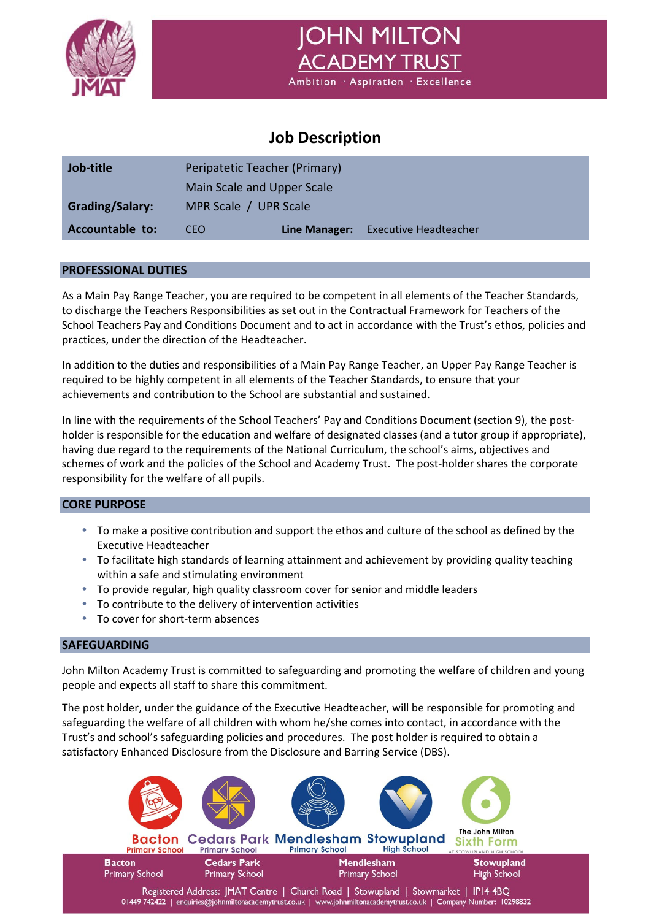

**JOHN MILTON** ACADEMY TRUST Ambition Aspiration Excellence

# **Job Description**

| Job-title              | Peripatetic Teacher (Primary) |               |                              |  |
|------------------------|-------------------------------|---------------|------------------------------|--|
|                        | Main Scale and Upper Scale    |               |                              |  |
| <b>Grading/Salary:</b> | MPR Scale / UPR Scale         |               |                              |  |
| Accountable to:        | CEO.                          | Line Manager: | <b>Executive Headteacher</b> |  |

# **PROFESSIONAL DUTIES**

As a Main Pay Range Teacher, you are required to be competent in all elements of the Teacher Standards, to discharge the Teachers Responsibilities as set out in the Contractual Framework for Teachers of the School Teachers Pay and Conditions Document and to act in accordance with the Trust's ethos, policies and practices, under the direction of the Headteacher.

In addition to the duties and responsibilities of a Main Pay Range Teacher, an Upper Pay Range Teacher is required to be highly competent in all elements of the Teacher Standards, to ensure that your achievements and contribution to the School are substantial and sustained.

In line with the requirements of the School Teachers' Pay and Conditions Document (section 9), the postholder is responsible for the education and welfare of designated classes (and a tutor group if appropriate), having due regard to the requirements of the National Curriculum, the school's aims, objectives and schemes of work and the policies of the School and Academy Trust. The post-holder shares the corporate responsibility for the welfare of all pupils.

# **CORE PURPOSE**

- To make a positive contribution and support the ethos and culture of the school as defined by the Executive Headteacher
- To facilitate high standards of learning attainment and achievement by providing quality teaching within a safe and stimulating environment
- To provide regular, high quality classroom cover for senior and middle leaders
- To contribute to the delivery of intervention activities
- To cover for short-term absences

# **SAFEGUARDING**

John Milton Academy Trust is committed to safeguarding and promoting the welfare of children and young people and expects all staff to share this commitment.

The post holder, under the guidance of the Executive Headteacher, will be responsible for promoting and safeguarding the welfare of all children with whom he/she comes into contact, in accordance with the Trust's and school's safeguarding policies and procedures. The post holder is required to obtain a satisfactory Enhanced Disclosure from the Disclosure and Barring Service (DBS).

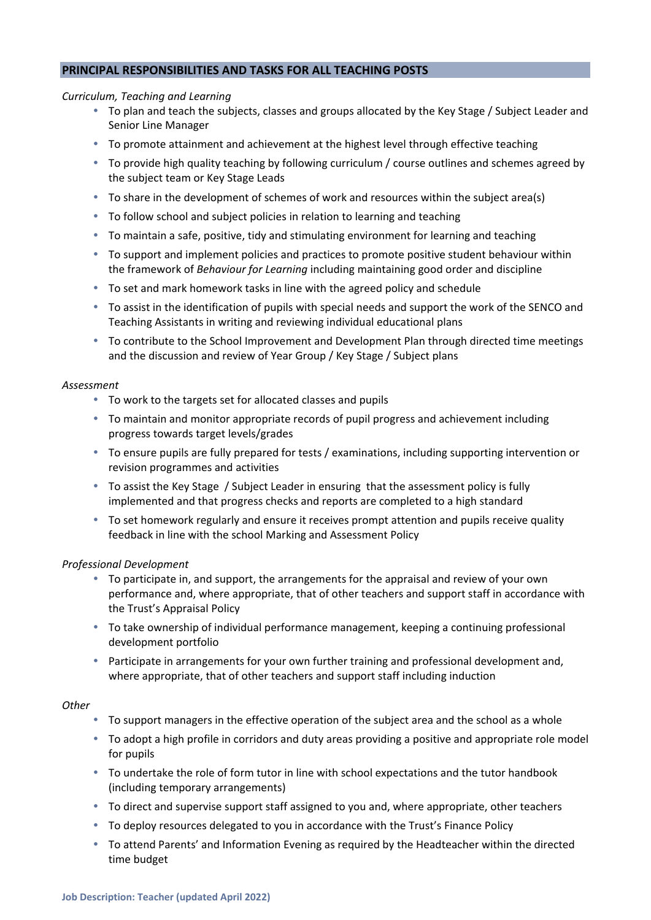# **PRINCIPAL RESPONSIBILITIES AND TASKS FOR ALL TEACHING POSTS**

#### *Curriculum, Teaching and Learning*

- To plan and teach the subjects, classes and groups allocated by the Key Stage / Subject Leader and Senior Line Manager
- To promote attainment and achievement at the highest level through effective teaching
- To provide high quality teaching by following curriculum / course outlines and schemes agreed by the subject team or Key Stage Leads
- To share in the development of schemes of work and resources within the subject area(s)
- To follow school and subject policies in relation to learning and teaching
- To maintain a safe, positive, tidy and stimulating environment for learning and teaching
- To support and implement policies and practices to promote positive student behaviour within the framework of *Behaviour for Learning* including maintaining good order and discipline
- To set and mark homework tasks in line with the agreed policy and schedule
- To assist in the identification of pupils with special needs and support the work of the SENCO and Teaching Assistants in writing and reviewing individual educational plans
- To contribute to the School Improvement and Development Plan through directed time meetings and the discussion and review of Year Group / Key Stage / Subject plans

#### *Assessment*

- To work to the targets set for allocated classes and pupils
- To maintain and monitor appropriate records of pupil progress and achievement including progress towards target levels/grades
- To ensure pupils are fully prepared for tests / examinations, including supporting intervention or revision programmes and activities
- To assist the Key Stage / Subject Leader in ensuring that the assessment policy is fully implemented and that progress checks and reports are completed to a high standard
- To set homework regularly and ensure it receives prompt attention and pupils receive quality feedback in line with the school Marking and Assessment Policy

# *Professional Development*

- To participate in, and support, the arrangements for the appraisal and review of your own performance and, where appropriate, that of other teachers and support staff in accordance with the Trust's Appraisal Policy
- To take ownership of individual performance management, keeping a continuing professional development portfolio
- Participate in arrangements for your own further training and professional development and, where appropriate, that of other teachers and support staff including induction

# *Other*

- To support managers in the effective operation of the subject area and the school as a whole
- To adopt a high profile in corridors and duty areas providing a positive and appropriate role model for pupils
- To undertake the role of form tutor in line with school expectations and the tutor handbook (including temporary arrangements)
- To direct and supervise support staff assigned to you and, where appropriate, other teachers
- To deploy resources delegated to you in accordance with the Trust's Finance Policy
- To attend Parents' and Information Evening as required by the Headteacher within the directed time budget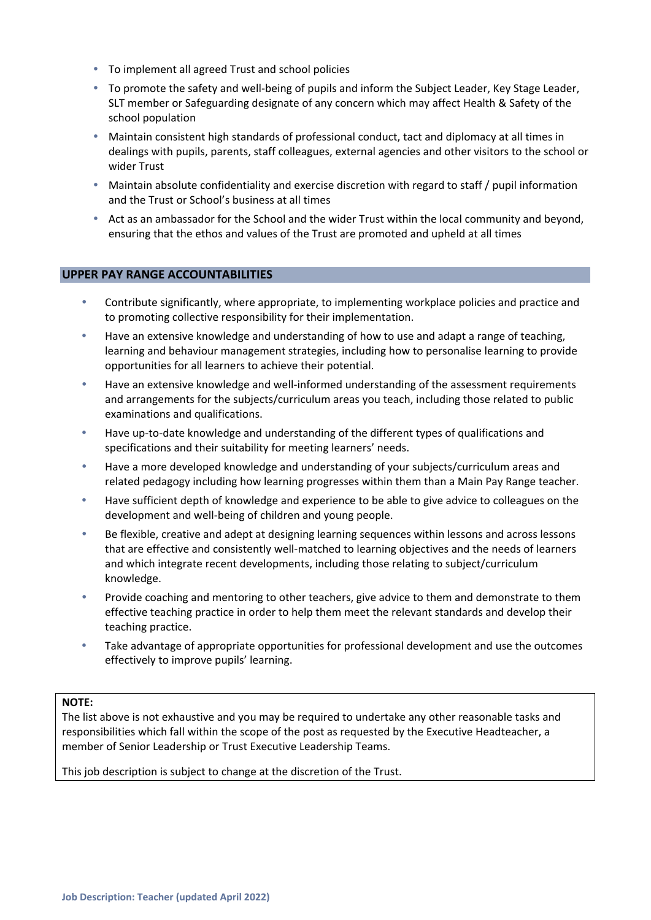- To implement all agreed Trust and school policies
- To promote the safety and well-being of pupils and inform the Subject Leader, Key Stage Leader, SLT member or Safeguarding designate of any concern which may affect Health & Safety of the school population
- Maintain consistent high standards of professional conduct, tact and diplomacy at all times in dealings with pupils, parents, staff colleagues, external agencies and other visitors to the school or wider Trust
- Maintain absolute confidentiality and exercise discretion with regard to staff / pupil information and the Trust or School's business at all times
- Act as an ambassador for the School and the wider Trust within the local community and beyond, ensuring that the ethos and values of the Trust are promoted and upheld at all times

# **UPPER PAY RANGE ACCOUNTABILITIES**

- Contribute significantly, where appropriate, to implementing workplace policies and practice and to promoting collective responsibility for their implementation.
- Have an extensive knowledge and understanding of how to use and adapt a range of teaching, learning and behaviour management strategies, including how to personalise learning to provide opportunities for all learners to achieve their potential.
- Have an extensive knowledge and well-informed understanding of the assessment requirements and arrangements for the subjects/curriculum areas you teach, including those related to public examinations and qualifications.
- Have up-to-date knowledge and understanding of the different types of qualifications and specifications and their suitability for meeting learners' needs.
- Have a more developed knowledge and understanding of your subjects/curriculum areas and related pedagogy including how learning progresses within them than a Main Pay Range teacher.
- Have sufficient depth of knowledge and experience to be able to give advice to colleagues on the development and well‐being of children and young people.
- Be flexible, creative and adept at designing learning sequences within lessons and across lessons that are effective and consistently well-matched to learning objectives and the needs of learners and which integrate recent developments, including those relating to subject/curriculum knowledge.
- Provide coaching and mentoring to other teachers, give advice to them and demonstrate to them effective teaching practice in order to help them meet the relevant standards and develop their teaching practice.
- Take advantage of appropriate opportunities for professional development and use the outcomes effectively to improve pupils' learning.

#### **NOTE:**

The list above is not exhaustive and you may be required to undertake any other reasonable tasks and responsibilities which fall within the scope of the post as requested by the Executive Headteacher, a member of Senior Leadership or Trust Executive Leadership Teams.

This job description is subject to change at the discretion of the Trust.